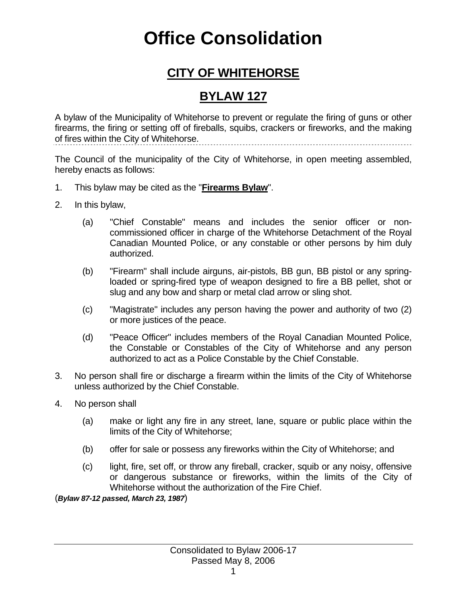## **Office Consolidation**

## **CITY OF WHITEHORSE**

## **BYLAW 127**

A bylaw of the Municipality of Whitehorse to prevent or regulate the firing of guns or other firearms, the firing or setting off of fireballs, squibs, crackers or fireworks, and the making of fires within the City of Whitehorse. 

The Council of the municipality of the City of Whitehorse, in open meeting assembled, hereby enacts as follows:

- 1. This bylaw may be cited as the "**Firearms Bylaw**".
- 2. In this bylaw,
	- (a) "Chief Constable" means and includes the senior officer or noncommissioned officer in charge of the Whitehorse Detachment of the Royal Canadian Mounted Police, or any constable or other persons by him duly authorized.
	- (b) "Firearm" shall include airguns, air-pistols, BB gun, BB pistol or any springloaded or spring-fired type of weapon designed to fire a BB pellet, shot or slug and any bow and sharp or metal clad arrow or sling shot.
	- (c) "Magistrate" includes any person having the power and authority of two (2) or more justices of the peace.
	- (d) "Peace Officer" includes members of the Royal Canadian Mounted Police, the Constable or Constables of the City of Whitehorse and any person authorized to act as a Police Constable by the Chief Constable.
- 3. No person shall fire or discharge a firearm within the limits of the City of Whitehorse unless authorized by the Chief Constable.
- 4. No person shall
	- (a) make or light any fire in any street, lane, square or public place within the limits of the City of Whitehorse;
	- (b) offer for sale or possess any fireworks within the City of Whitehorse; and
	- (c) light, fire, set off, or throw any fireball, cracker, squib or any noisy, offensive or dangerous substance or fireworks, within the limits of the City of Whitehorse without the authorization of the Fire Chief.

(*Bylaw 87-12 passed, March 23, 1987*)